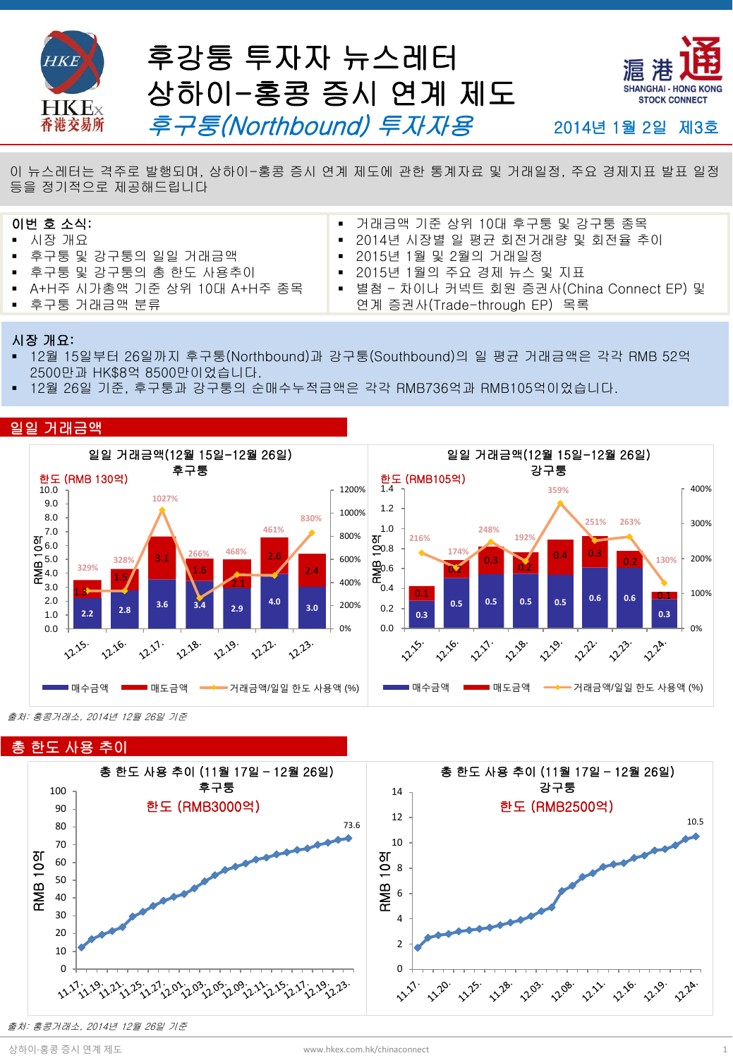

후강퉁 투자자 뉴스레터 상하이-홍콩 증시 연계 제도 후구퉁(Northbound) 투자자용



2014년 1월 2일 제3호

**Hot Topics** <sup>이</sup> 뉴스레터는 격주로 발행되며, 상하이-홍콩 증시 연계 제도에 관한 통계자료 <sup>및</sup> 거래일정, 주요 경제지표 발표 일정 등을 정기적으로 제공해드립니다

#### 이번 호 소식:

- 시장 개요
- 후구퉁 및 강구퉁의 일일 거래금액
- 후구퉁 및 강구퉁의 총 한도 사용추이
- A+H주 시가총액 기준 상위 10대 A+H주 종목
- 후구퉁 거래금액 분류
- 거래금액 기준 상위 10대 후구퉁 및 강구퉁 종목
- 2014년 시장별 일 평균 회전거래량 및 회전율 추이
- 2015년 1월 및 2월의 거래일정
- 2015년 1월의 주요 경제 뉴스 및 지표
- 별첨 차이나 커넥트 회원 증권사(China Connect EP) 및 연계 증권사(Trade-through EP) 목록

#### 시장 개요:

- 12월 15일부터 26일까지 후구퉁(Northbound)과 강구퉁(Southbound)의 일 평균 거래금액은 각각 RMB 52억 2500만과 HK\$8억 8500만이었습니다.
- 12월 26일 기준, 후구퉁과 강구퉁의 순매수누적금액은 각각 RMB736억과 RMB105억이었습니다.

#### 일일 거래금액



출처: 홍콩거래소, 2014년 12월 26일 기준



출처: 홍콩거래소, 2014년 12월 26일 기준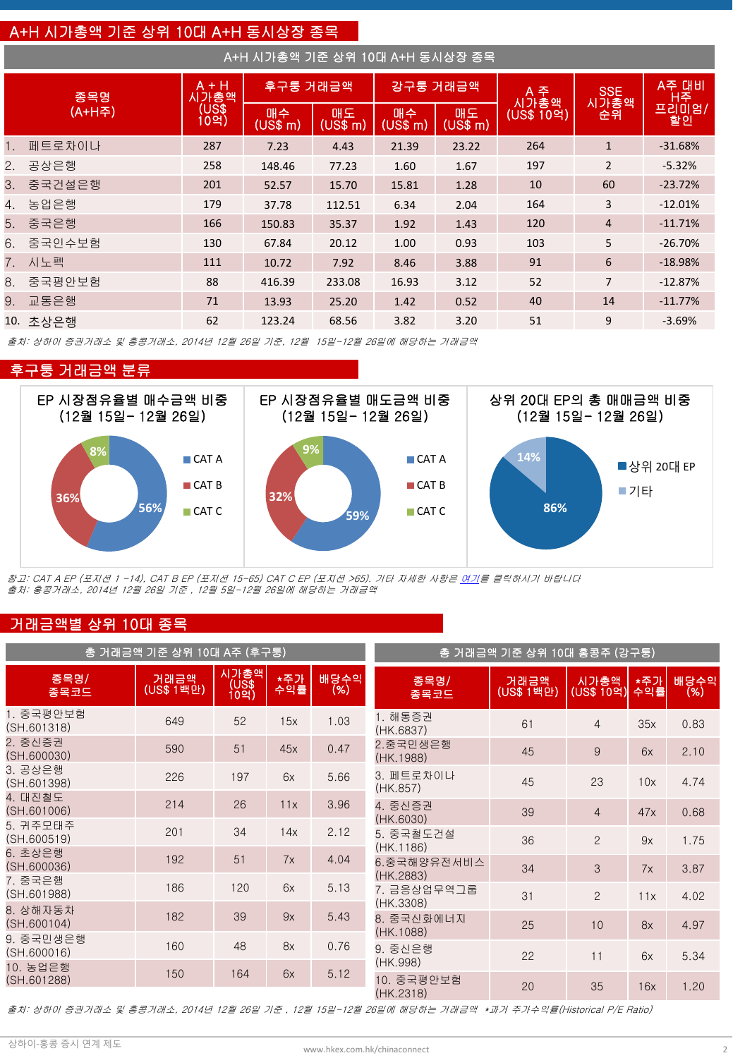# A+H 시가총액 기준 상위 10대 A+H 동시상장 종목

| A+H 시가총액 기준 상위 10대 A+H 동시상장 종목 |           |                                  |                |                |                |                |             |                    |             |
|--------------------------------|-----------|----------------------------------|----------------|----------------|----------------|----------------|-------------|--------------------|-------------|
| 종목명<br>(A+H주)                  |           | $A + H$<br>시가총액<br>(US\$<br>10억) | 후구퉁 거래금액       |                | 강구퉁 거래금액       |                | A 주<br>시가총액 | <b>SSE</b><br>시가총액 | A주 대비       |
|                                |           |                                  | 매수<br>(US\$~m) | 매도<br>(US\$ m) | 매수<br>(US\$ m) | 매도<br>(US\$ m) | (US\$ 10억)  | 순휘                 | 프리미엄/<br>할인 |
|                                | 1. 페트로차이나 | 287                              | 7.23           | 4.43           | 21.39          | 23.22          | 264         | $\mathbf{1}$       | $-31.68%$   |
|                                | 2. 공상은행   | 258                              | 148.46         | 77.23          | 1.60           | 1.67           | 197         | $\overline{2}$     | $-5.32%$    |
|                                | 3. 중국건설은행 | 201                              | 52.57          | 15.70          | 15.81          | 1.28           | 10          | 60                 | $-23.72%$   |
|                                | 4. 농업은행   | 179                              | 37.78          | 112.51         | 6.34           | 2.04           | 164         | 3                  | $-12.01%$   |
|                                | 5. 중국은행   | 166                              | 150.83         | 35.37          | 1.92           | 1.43           | 120         | $\overline{4}$     | $-11.71%$   |
|                                | 6. 중국인수보험 | 130                              | 67.84          | 20.12          | 1.00           | 0.93           | 103         | 5                  | $-26.70%$   |
|                                | 7. 시노펙    | 111                              | 10.72          | 7.92           | 8.46           | 3.88           | 91          | 6                  | $-18.98%$   |
|                                | 8. 중국평안보험 | 88                               | 416.39         | 233.08         | 16.93          | 3.12           | 52          | $\overline{7}$     | $-12.87%$   |
|                                | 9. 교통은행   | 71                               | 13.93          | 25.20          | 1.42           | 0.52           | 40          | 14                 | $-11.77%$   |
|                                | 10. 초상은행  | 62                               | 123.24         | 68.56          | 3.82           | 3.20           | 51          | 9                  | $-3.69%$    |

출처: 상하이 증권거래소 및 홍콩거래소, 2014년 12월 26일 기준, 12월 15일-12월 26일에 해당하는 거래금액

#### 후구퉁 거래금액 분류



참고: CAT A EP (포지션 1 -14), CAT B EP (포지션 15-65) CAT C EP (포지션 >65). 기타 자세한 사항은 [여기](http://www.hkex.com.hk/eng/stat/epstat/exreport.htm)를 클릭하시기 바랍니다 출처: 홍콩거래소, 2014년 12월 26일 기준 , 12월 5일-12월 26일에 해당하는 거래금액

### 거래금액별 상위 10대 종목

|                    |                        |            | 총 거래금액 기준 상위 10대 홍콩주 (강구퉁) |                       |                                                                                                    |                    |            |                |
|--------------------|------------------------|------------|----------------------------|-----------------------|----------------------------------------------------------------------------------------------------|--------------------|------------|----------------|
| 거래금액<br>(US\$ 1백만) | 시가총액<br>(US\$)<br>10억) | *주가<br>수익률 | 배당수익<br>(%)                | 종목명/<br>종목코드          | 거래금액<br>(US\$ 1백만)                                                                                 | 시가총액<br>(US\$ 10억) | *주가<br>수익률 | 배당수익<br>$(\%)$ |
| 649                | 52                     | 15x        | 1.03                       | 1. 해통증권<br>(HK.6837)  | 61                                                                                                 | $\overline{4}$     | 35x        | 0.83           |
| 590                | 51                     | 45x        | 0.47                       | 2.중국민생은행<br>(HK.1988) | 45                                                                                                 | 9                  | 6x         | 2.10           |
| 226                | 197                    | 6x         | 5.66                       | 3. 페트로차이나             | 45                                                                                                 | 23                 | 10x        | 4.74           |
| 214                | 26                     | 11x        | 3.96                       | 4. 중신증권               | 39                                                                                                 | $\overline{4}$     | 47x        | 0.68           |
| 201                | 34                     | 14x        | 2.12                       | 5. 중국철도건설             | 36                                                                                                 | $\overline{2}$     | 9x         | 1.75           |
| 192                | 51                     | 7x         | 4.04                       | 6.중국해양유전서비스           | 34                                                                                                 | 3                  | 7x         | 3.87           |
| 186                | 120                    | 6x         | 5.13                       | 7. 금응상업무역그룹           | 31                                                                                                 | $\overline{2}$     | 11x        | 4.02           |
| 182                | 39                     | 9x         | 5.43                       | 8. 중국신화에너지            | 25                                                                                                 | 10                 | 8x         | 4.97           |
| 160                | 48                     | 8x         | 0.76                       | 9. 중신은행               |                                                                                                    |                    |            | 5.34           |
| 150                | 164                    | 6x         | 5.12                       | 10. 중국평안보험            | 20                                                                                                 | 35                 | 16x        | 1.20           |
|                    |                        |            | 총 거래금액 기준 상위 10대 A주 (후구퉁)  |                       | (HK.857)<br>(HK.6030)<br>(HK.1186)<br>(HK.2883)<br>(HK.3308)<br>(HK.1088)<br>(HK.998)<br>(HK.2318) | 22                 | 11         | 6x             |

출처: 상하이 증권거래소 및 홍콩거래소, 2014년 12월 26일 기준 , 12월 15일-12월 26일에 해당하는 거래금액 \*과거 주가수익률(Historical P/E Ratio)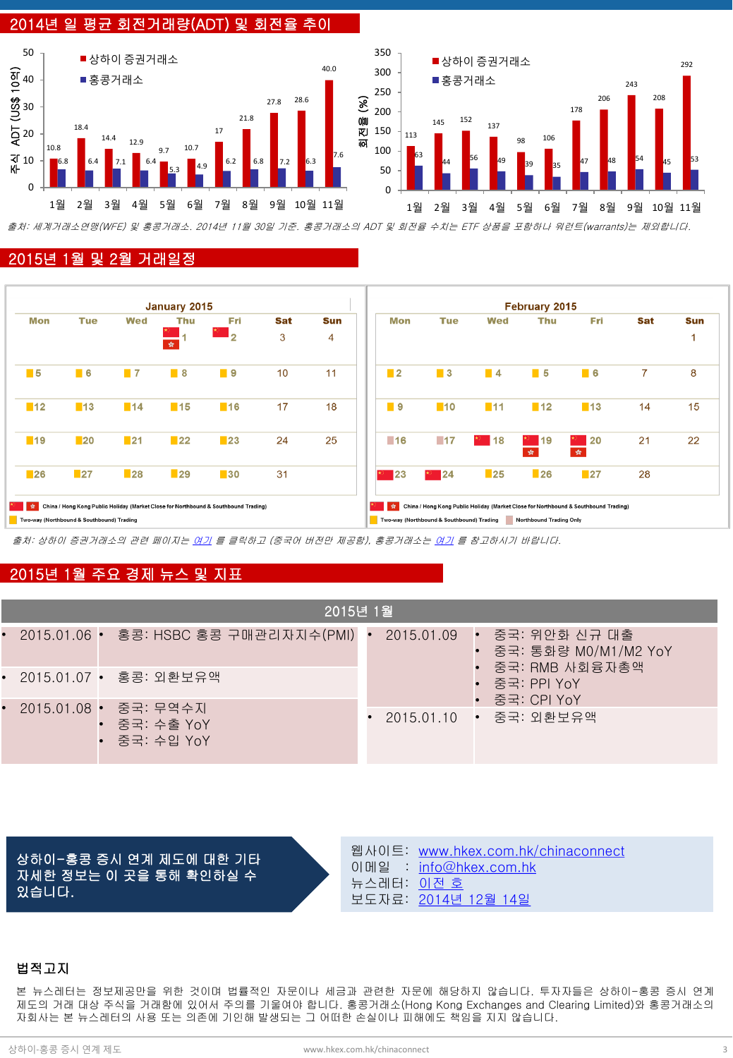## 2014년 일 평균 회전거래량(ADT) 및 회전율 추이



출처: 세계거래소연맹(WFE) 및 홍콩거래소. 2014년 11월 30일 기준. 홍콩거래소의 ADT 및 회전율 수치는 ETF 상품을 포함하나 워런트(warrants)는 제외합니다.

#### 2015년 1월 및 2월 거래일정



출처: 상하이 증권거래소의 관련 페이지는 [여기](http://www.sse.com.cn/marketservices/hkexsc/home/holiday/) 를 클릭하고 (중국어 버전만 제공함), 홍콩거래소는 [여기](http://www.hkex.com.hk/eng/market/sec_tradinfra/chinaconnect/Calendar.htm) 를 참고하시기 바랍니다.

### 2015년 1월 주요 경제 뉴스 및 지표

| 2015년 1월                                              |                                                      |  |  |  |  |  |  |
|-------------------------------------------------------|------------------------------------------------------|--|--|--|--|--|--|
| • 2015.01.06 • 홍콩: HSBC 홍콩 구매관리자지수(PMI) •             | 2015.01.09 ŀ 중국: 위안화 신규 대출<br>• 중국: 통화량 M0/M1/M2 YoY |  |  |  |  |  |  |
| • 2015.01.07 • 홍콩: 외환보유액                              | • 중국: RMB 사회융자총액<br>• 중국: PPI YoY<br>• 중국: CPI YoY   |  |  |  |  |  |  |
| • 2015.01.08 • 중국: 무역수지<br>중국: 수출 YoY<br>• 중국: 수입 YoY | 2015.01.10 • 중국: 외환보유액                               |  |  |  |  |  |  |

상하이-홍콩 증시 연계 제도에 대한 기타 자세한 정보는 이 곳을 통해 확인하실 수 있습니다.

웹사이트: [www.hkex.com.hk/chinaconnect](http://www.hkex.com.hk/chinaconnect) 이메일 : [info@hkex.com.hk](mailto:info@hkex.com.hk) 뉴스레터: [이전](http://www.hkex.com.hk/eng/market/sec_tradinfra/chinaconnect/Newsletter.htm) [호](http://www.hkex.com.hk/eng/market/sec_tradinfra/chinaconnect/Newsletter.htm) 보도자료: [2014](http://www.hkex.com.hk/eng/newsconsul/hkexnews/2014/141214news.htm)[년](http://www.hkex.com.hk/eng/newsconsul/hkexnews/2014/141214news.htm) [12](http://www.hkex.com.hk/eng/newsconsul/hkexnews/2014/141214news.htm)[월](http://www.hkex.com.hk/eng/newsconsul/hkexnews/2014/141214news.htm) [14](http://www.hkex.com.hk/eng/newsconsul/hkexnews/2014/141214news.htm)[일](http://www.hkex.com.hk/eng/newsconsul/hkexnews/2014/141214news.htm)

#### 법적고지

본 뉴스레터는 정보제공만을 위한 것이며 법률적인 자문이나 세금과 관련한 자문에 해당하지 않습니다. 투자자들은 상하이-홍콩 증시 연계 제도의 거래 대상 주식을 거래함에 있어서 주의를 기울여야 합니다. 홍콩거래소(Hong Kong Exchanges and Clearing Limited)와 홍콩거래소의 자회사는 본 뉴스레터의 사용 또는 의존에 기인해 발생되는 그 어떠한 손실이나 피해에도 책임을 지지 않습니다.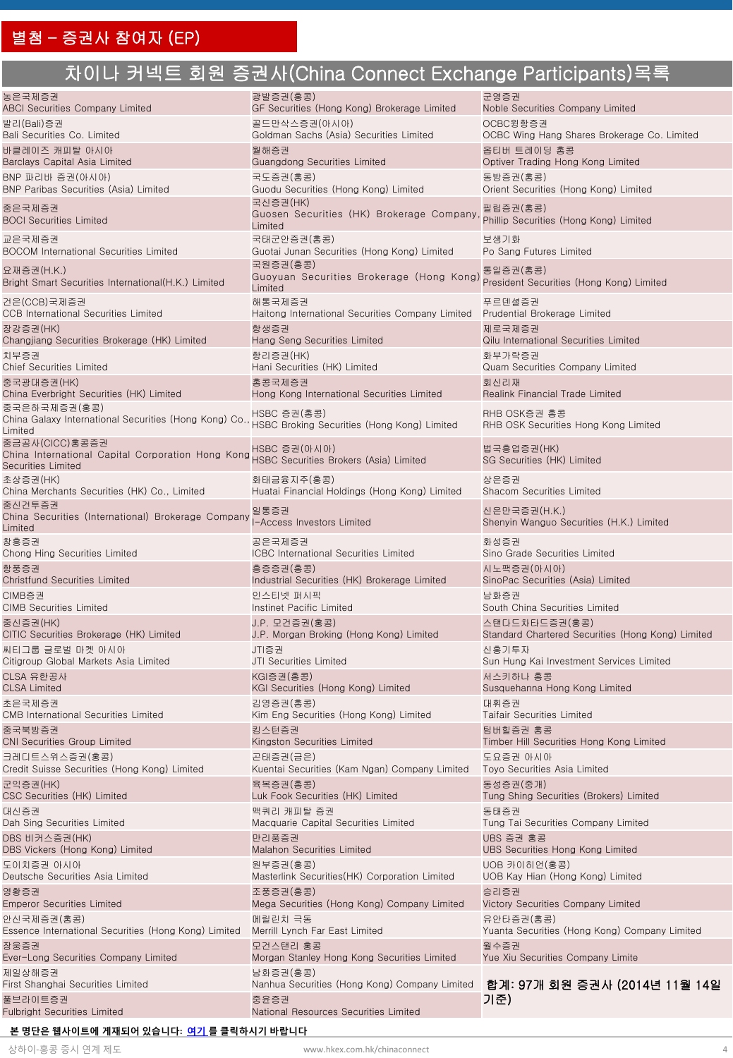# 차이나 커넥트 회원 증권사(China Connect Exchange Participants)목록

| 농은국제증권                                                                                           | 광발증권(홍콩)                                                                                       | 군영증권                                                     |
|--------------------------------------------------------------------------------------------------|------------------------------------------------------------------------------------------------|----------------------------------------------------------|
| <b>ABCI Securities Company Limited</b>                                                           | GF Securities (Hong Kong) Brokerage Limited                                                    | Noble Securities Company Limited                         |
|                                                                                                  |                                                                                                |                                                          |
| 발리(Bali)증권                                                                                       | 골드만삭스증권(아시아)                                                                                   | OCBC윙항증권                                                 |
| Bali Securities Co. Limited                                                                      | Goldman Sachs (Asia) Securities Limited                                                        | OCBC Wing Hang Shares Brokerage Co. Limited              |
| 바클레이즈 캐피탈 아시아                                                                                    | 월해증권                                                                                           | 옵티버 트레이딩 홍콩                                              |
| Barclays Capital Asia Limited                                                                    | Guangdong Securities Limited                                                                   | Optiver Trading Hong Kong Limited                        |
| BNP 파리바 증권(아시아)                                                                                  | 국도증권(홍콩)                                                                                       | 동방증권(홍콩)                                                 |
| BNP Paribas Securities (Asia) Limited                                                            | Guodu Securities (Hong Kong) Limited                                                           | Orient Securities (Hong Kong) Limited                    |
| 중은국제증권<br><b>BOCI Securities Limited</b>                                                         | 국신증권(HK)<br>Guosen Securities (HK) Brokerage Company<br>Limited                                | 필립증권(홍콩)<br>Phillip Securities (Hong Kong) Limited       |
| 교은국제증권                                                                                           | 국태군안증권(홍콩)                                                                                     | 보생기화                                                     |
| <b>BOCOM International Securities Limited</b>                                                    | Guotai Junan Securities (Hong Kong) Limited                                                    | Po Sang Futures Limited                                  |
| 요재증권(H.K.)<br>Bright Smart Securities International(H.K.) Limited                                | 국원증권(홍콩)<br>Guoyuan Securities Brokerage (Hong Kong)<br>Limited                                | 통일증권(홍콩)<br>President Securities (Hong Kong) Limited     |
| 건은(CCB)국제증권                                                                                      | 해통국제증권                                                                                         | 푸르덴셜증권                                                   |
| <b>CCB</b> International Securities Limited                                                      | Haitong International Securities Company Limited                                               | Prudential Brokerage Limited                             |
| 장강증권(HK)                                                                                         | 항생증권                                                                                           | 제로국제증권                                                   |
| Changjiang Securities Brokerage (HK) Limited                                                     | Hang Seng Securities Limited                                                                   | Qilu International Securities Limited                    |
| 치부증권                                                                                             | 항리증권(HK)                                                                                       | 화부가락증권                                                   |
| <b>Chief Securities Limited</b>                                                                  | Hani Securities (HK) Limited                                                                   | Quam Securities Company Limited                          |
| 중국광대증권(HK)                                                                                       | 홍콩국제증권                                                                                         | 회신리재                                                     |
| China Everbright Securities (HK) Limited                                                         | Hong Kong International Securities Limited                                                     | <b>Realink Financial Trade Limited</b>                   |
| 중국은하국제증권(홍콩)<br>China Galaxy International Securities (Hong Kong) Co.<br>Limited                 | HSBC 증권(홍콩)<br>HSBC Broking Securities (Hong Kong) Limited                                     | RHB OSK증권 홍콩<br>RHB OSK Securities Hong Kong Limited     |
| 중금공사(CICC)홍콩증권<br>China International Capital Corporation Hong Kong<br><b>Securities Limited</b> | HSBC 증권(아시아)<br>HSBC Securities Brokers (Asia) Limited                                         | 법국흥업증권(HK)<br>SG Securities (HK) Limited                 |
| 초상증권(HK)                                                                                         | 화태금융지주(홍콩)                                                                                     | 상은증권                                                     |
| China Merchants Securities (HK) Co., Limited                                                     | Huatai Financial Holdings (Hong Kong) Limited                                                  | Shacom Securities Limited                                |
| 중신건투증권<br>China Securities (International) Brokerage Company<br>Limited                          | 일통증권<br>I-Access Investors Limited                                                             | 신은만국증권(H.K.)<br>Shenyin Wanguo Securities (H.K.) Limited |
| 창흥증권                                                                                             | 공은국제증권                                                                                         | 화성증권                                                     |
| Chong Hing Securities Limited                                                                    | <b>ICBC</b> International Securities Limited                                                   | Sino Grade Securities Limited                            |
| 항풍증권                                                                                             | 흥증증권(홍콩)                                                                                       | 시노팩증권(아시아)                                               |
| <b>Christfund Securities Limited</b>                                                             | Industrial Securities (HK) Brokerage Limited                                                   | SinoPac Securities (Asia) Limited                        |
| CIMB증권                                                                                           | 인스티넷 퍼시픽                                                                                       | 남화증권                                                     |
| <b>CIMB Securities Limited</b>                                                                   | Instinet Pacific Limited                                                                       | South China Securities Limited                           |
| 중신증권(HK)                                                                                         | J.P. 모건증권(홍콩)                                                                                  | 스탠다드차타드증권(홍콩)                                            |
| CITIC Securities Brokerage (HK) Limited                                                          | J.P. Morgan Broking (Hong Kong) Limited                                                        | Standard Chartered Securities (Hong Kong) Limited        |
| 씨티그룹 글로벌 마켓 아시아                                                                                  | JTI증권                                                                                          | 신홍기투자                                                    |
| Citigroup Global Markets Asia Limited                                                            | JTI Securities Limited                                                                         | Sun Hung Kai Investment Services Limited                 |
| CLSA 유한공사                                                                                        | KGI증권(홍콩)                                                                                      | 서스키하나 홍콩                                                 |
| <b>CLSA Limited</b>                                                                              | KGI Securities (Hong Kong) Limited                                                             | Susquehanna Hong Kong Limited                            |
| 초은국제증권                                                                                           | 김영증권(홍콩)                                                                                       | 대휘증권                                                     |
| <b>CMB</b> International Securities Limited                                                      | Kim Eng Securities (Hong Kong) Limited                                                         | <b>Taifair Securities Limited</b>                        |
| 중국북방증권                                                                                           | 킹스턴증권                                                                                          | 팀버힐증권 홍콩                                                 |
| <b>CNI Securities Group Limited</b>                                                              | Kingston Securities Limited                                                                    | Timber Hill Securities Hong Kong Limited                 |
| 크레디트스위스증권(홍콩)                                                                                    | 곤태증권(금은)                                                                                       | 도요증권 아시아                                                 |
| Credit Suisse Securities (Hong Kong) Limited                                                     | Kuentai Securities (Kam Ngan) Company Limited                                                  | Toyo Securities Asia Limited                             |
| 군익증권(HK)                                                                                         | 육복증권(홍콩)                                                                                       | 동성증권(중개)                                                 |
| CSC Securities (HK) Limited                                                                      | Luk Fook Securities (HK) Limited                                                               | Tung Shing Securities (Brokers) Limited                  |
| 대신증권                                                                                             | 맥쿼리 캐피탈 증권                                                                                     | 동태증권                                                     |
| Dah Sing Securities Limited                                                                      | Macquarie Capital Securities Limited                                                           | Tung Tai Securities Company Limited                      |
| DBS 비커스증권(HK)                                                                                    | 만리풍증권                                                                                          | UBS 증권 홍콩                                                |
| DBS Vickers (Hong Kong) Limited                                                                  | Malahon Securities Limited                                                                     | UBS Securities Hong Kong Limited                         |
| 도이치증권 아시아                                                                                        | 원부증권(홍콩)                                                                                       | UOB 카이히언(홍콩)                                             |
| Deutsche Securities Asia Limited                                                                 | Masterlink Securities (HK) Corporation Limited                                                 | UOB Kay Hian (Hong Kong) Limited                         |
| 영황증권                                                                                             | 조풍증권(홍콩)                                                                                       | 승리증권                                                     |
| <b>Emperor Securities Limited</b>                                                                | Mega Securities (Hong Kong) Company Limited                                                    | Victory Securities Company Limited                       |
| 안신국제증권(홍콩)                                                                                       | 메릴린치 극동                                                                                        | 유안타증권(홍콩)                                                |
| Essence International Securities (Hong Kong) Limited                                             | Merrill Lynch Far East Limited                                                                 | Yuanta Securities (Hong Kong) Company Limited            |
| 장웅증권                                                                                             | 모건스탠리 홍콩                                                                                       | 월수증권                                                     |
| Ever-Long Securities Company Limited                                                             | Morgan Stanley Hong Kong Securities Limited                                                    | Yue Xiu Securities Company Limite                        |
| 제일상해증권                                                                                           | 남화증권(홍콩)                                                                                       |                                                          |
| First Shanghai Securities Limited<br>풀브라이트증권<br><b>Fulbright Securities Limited</b>              | Nanhua Securities (Hong Kong) Company Limited<br>중윤증권<br>National Resources Securities Limited | 합계: 97개 회원 증권사 (2014년 11월 14일<br>기준)                     |

#### **본 명단은 웹사이트에 게재되어 있습니다: [여기](http://www.hkex.com.hk/eng/market/sec_tradinfra/chinaconnect/Documents/TTEP_List.xlsx) [를](http://www.hkex.com.hk/eng/market/sec_tradinfra/chinaconnect/EligiblePart.htm) 클릭하시기 바랍니다**